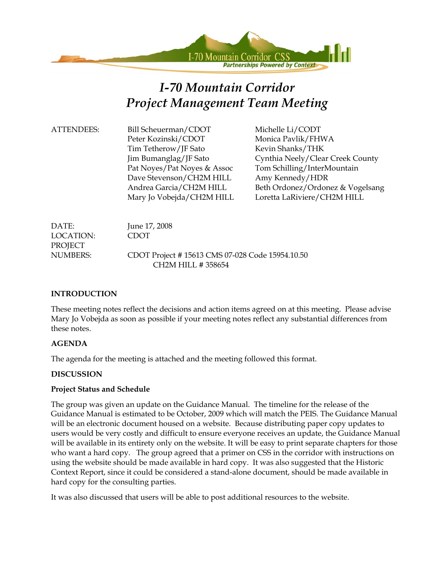

# *I-70 Mountain Corridor Project Management Team Meeting*

ATTENDEES: Bill Scheuerman/CDOT Michelle Li/CODT Peter Kozinski/CDOT Monica Pavlik/FHWA Tim Tetherow/JF Sato Kevin Shanks/THK Pat Noyes/Pat Noyes & Assoc Tom Schilling/InterMountain Dave Stevenson/CH2M HILL Amy Kennedy/HDR

 Jim Bumanglag/JF Sato Cynthia Neely/Clear Creek County Andrea Garcia/CH2M HILL Beth Ordonez/Ordonez & Vogelsang Mary Jo Vobejda/CH2M HILL Loretta LaRiviere/CH2M HILL

DATE: June 17, 2008 LOCATION: CDOT PROJECT NUMBERS: CDOT Project # 15613 CMS 07-028 Code 15954.10.50 CH2M HILL # 358654

#### **INTRODUCTION**

These meeting notes reflect the decisions and action items agreed on at this meeting. Please advise Mary Jo Vobejda as soon as possible if your meeting notes reflect any substantial differences from these notes.

#### **AGENDA**

The agenda for the meeting is attached and the meeting followed this format.

#### **DISCUSSION**

#### **Project Status and Schedule**

The group was given an update on the Guidance Manual. The timeline for the release of the Guidance Manual is estimated to be October, 2009 which will match the PEIS. The Guidance Manual will be an electronic document housed on a website. Because distributing paper copy updates to users would be very costly and difficult to ensure everyone receives an update, the Guidance Manual will be available in its entirety only on the website. It will be easy to print separate chapters for those who want a hard copy. The group agreed that a primer on CSS in the corridor with instructions on using the website should be made available in hard copy. It was also suggested that the Historic Context Report, since it could be considered a stand-alone document, should be made available in hard copy for the consulting parties.

It was also discussed that users will be able to post additional resources to the website.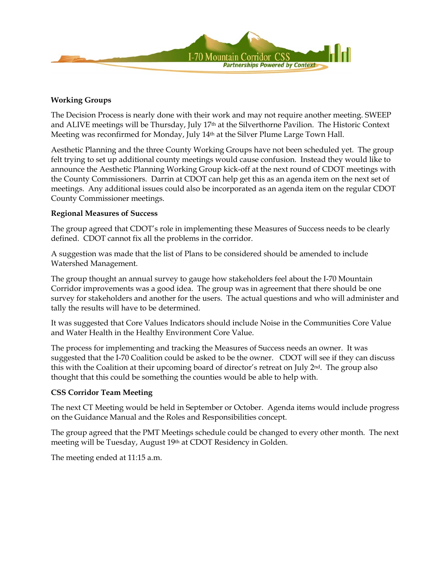

#### **Working Groups**

The Decision Process is nearly done with their work and may not require another meeting. SWEEP and ALIVE meetings will be Thursday, July 17<sup>th</sup> at the Silverthorne Pavilion. The Historic Context Meeting was reconfirmed for Monday, July 14th at the Silver Plume Large Town Hall.

Aesthetic Planning and the three County Working Groups have not been scheduled yet. The group felt trying to set up additional county meetings would cause confusion. Instead they would like to announce the Aesthetic Planning Working Group kick-off at the next round of CDOT meetings with the County Commissioners. Darrin at CDOT can help get this as an agenda item on the next set of meetings. Any additional issues could also be incorporated as an agenda item on the regular CDOT County Commissioner meetings.

#### **Regional Measures of Success**

The group agreed that CDOT's role in implementing these Measures of Success needs to be clearly defined. CDOT cannot fix all the problems in the corridor.

A suggestion was made that the list of Plans to be considered should be amended to include Watershed Management.

The group thought an annual survey to gauge how stakeholders feel about the I-70 Mountain Corridor improvements was a good idea. The group was in agreement that there should be one survey for stakeholders and another for the users. The actual questions and who will administer and tally the results will have to be determined.

It was suggested that Core Values Indicators should include Noise in the Communities Core Value and Water Health in the Healthy Environment Core Value.

The process for implementing and tracking the Measures of Success needs an owner. It was suggested that the I-70 Coalition could be asked to be the owner. CDOT will see if they can discuss this with the Coalition at their upcoming board of director's retreat on July 2nd. The group also thought that this could be something the counties would be able to help with.

#### **CSS Corridor Team Meeting**

The next CT Meeting would be held in September or October. Agenda items would include progress on the Guidance Manual and the Roles and Responsibilities concept.

The group agreed that the PMT Meetings schedule could be changed to every other month. The next meeting will be Tuesday, August 19th at CDOT Residency in Golden.

The meeting ended at 11:15 a.m.